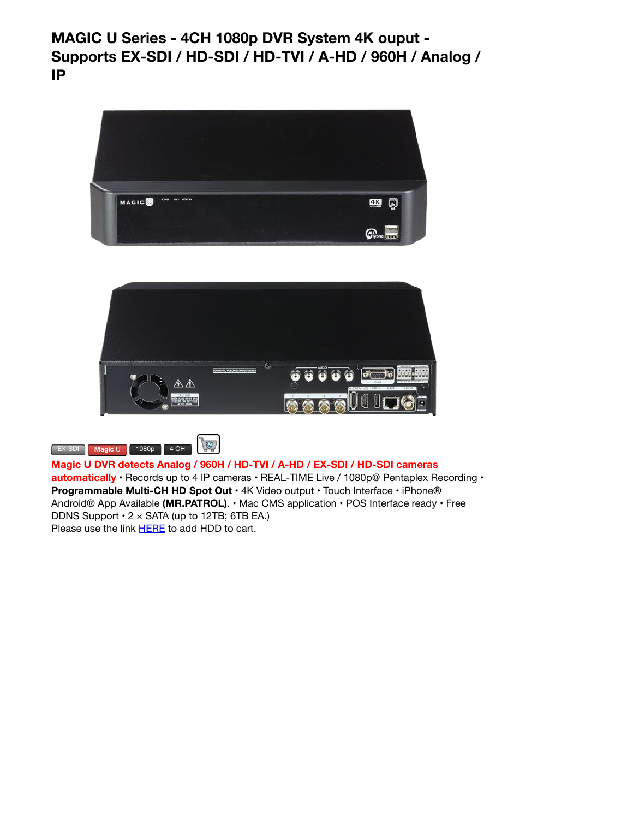```
MAGIC U Series - 4CH 1080p DVR System 4K ouput -
Supports EX-SDI / HD-SDI / HD-TVI / A-HD / 960H / Analog /
IP
```






**Magic U DVR detects Analog / 960H / HD-TVI / A-HD / EX-SDI / HD-SDI cameras**

**automatically** • Records up to 4 IP cameras • REAL-TIME Live / 1080p@ Pentaplex Recording • **Programmable Multi-CH HD Spot Out** • 4K Video output • Touch Interface • iPhone® Android® App Available **(MR.PATROL)**. • Mac CMS application • POS Interface ready • Free DDNS Support  $\cdot$  2  $\times$  SATA (up to 12TB; 6TB EA.) Please use the link **HERE** to add HDD to cart.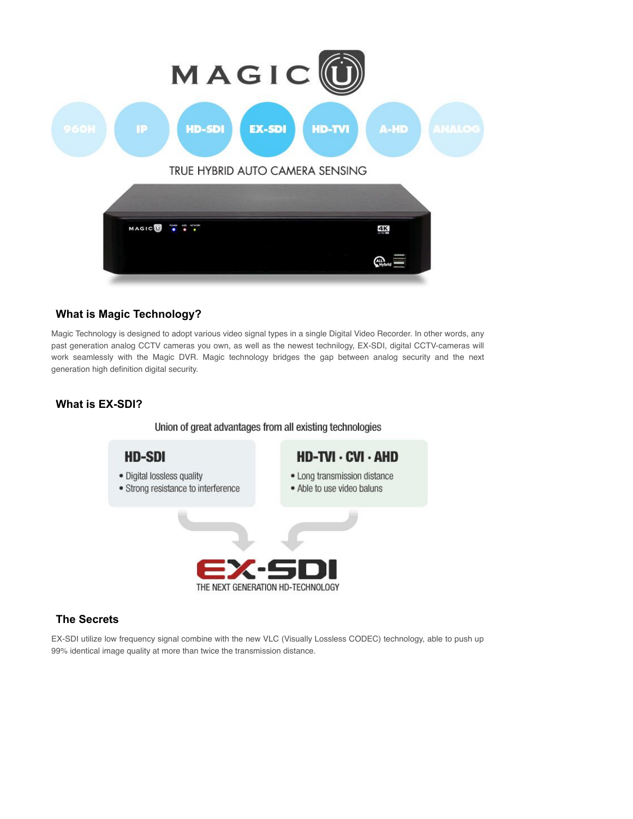

## **What is Magic Technology?**

Magic Technology is designed to adopt various video signal types in a single Digital Video Recorder. In other words, any past generation analog CCTV cameras you own, as well as the newest technilogy, EX-SDI, digital CCTV-cameras will work seamlessly with the Magic DVR. Magic technology bridges the gap between analog security and the next generation high definition digital security.

# **What is EX-SDI?**

Union of great advantages from all existing technologies



## **The Secrets**

EX-SDI utilize low frequency signal combine with the new VLC (Visually Lossless CODEC) technology, able to push up 99% identical image quality at more than twice the transmission distance.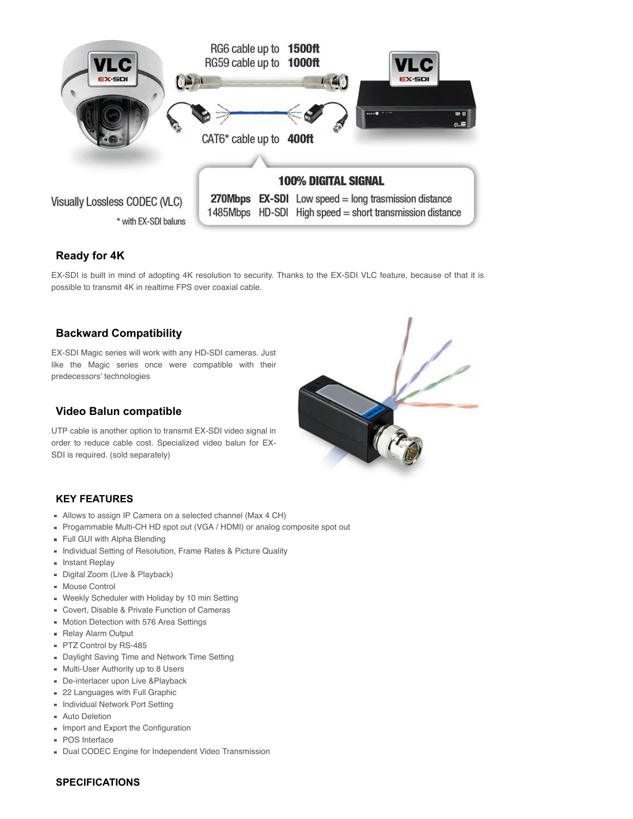

## **Ready for 4K**

EX-SDI is built in mind of adopting 4K resolution to security. Thanks to the EX-SDI VLC feature, because of that it is possible to transmit 4K in realtime FPS over coaxial cable.

## **Backward Compatibility**

EX-SDI Magic series will work with any HD-SDI cameras. Just like the Magic series once were compatible with their predecessors' technologies

#### **Video Balun compatible**

UTP cable is another option to transmit EX-SDI video signal in order to reduce cable cost. Specialized video balun for EX-SDI is required. (sold separately)



#### **KEY FEATURES**

- Allows to assign IP Camera on a selected channel (Max 4 CH)
- Progammable Multi-CH HD spot out (VGA / HDMI) or analog composite spot out
- Full GUI with Alpha Blending
- **Individual Setting of Resolution, Frame Rates & Picture Quality**
- **Instant Replay**
- Digital Zoom (Live & Playback)
- Mouse Control
- Weekly Scheduler with Holiday by 10 min Setting
- Covert, Disable & Private Function of Cameras
- Motion Detection with 576 Area Settings
- **Relay Alarm Output**
- PTZ Control by RS-485
- **Daylight Saving Time and Network Time Setting**
- Multi-User Authority up to 8 Users
- De-interlacer upon Live &Playback
- 22 Languages with Full Graphic
- **Individual Network Port Setting**
- **Auto Deletion**
- **Import and Export the Configuration**
- POS Interface
- Dual CODEC Engine for Independent Video Transmission

#### **SPECIFICATIONS**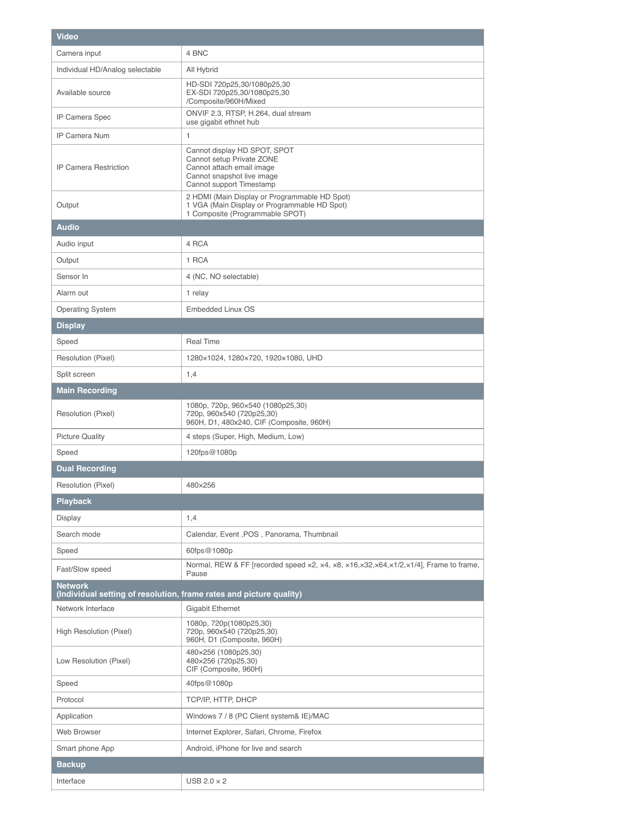| <b>Video</b>                                                                          |                                                                                                                                                  |
|---------------------------------------------------------------------------------------|--------------------------------------------------------------------------------------------------------------------------------------------------|
| Camera input                                                                          | 4 BNC                                                                                                                                            |
| Individual HD/Analog selectable                                                       | All Hybrid                                                                                                                                       |
| Available source                                                                      | HD-SDI 720p25,30/1080p25,30<br>EX-SDI 720p25,30/1080p25,30<br>/Composite/960H/Mixed                                                              |
| IP Camera Spec                                                                        | ONVIF 2.3, RTSP, H.264, dual stream<br>use gigabit ethnet hub                                                                                    |
| IP Camera Num                                                                         | 1                                                                                                                                                |
| <b>IP Camera Restriction</b>                                                          | Cannot display HD SPOT, SPOT<br>Cannot setup Private ZONE<br>Cannot attach email image<br>Cannot snapshot live image<br>Cannot support Timestamp |
| Output                                                                                | 2 HDMI (Main Display or Programmable HD Spot)<br>1 VGA (Main Display or Programmable HD Spot)<br>1 Composite (Programmable SPOT)                 |
| <b>Audio</b>                                                                          |                                                                                                                                                  |
| Audio input                                                                           | 4 RCA                                                                                                                                            |
| Output                                                                                | 1 RCA                                                                                                                                            |
| Sensor In                                                                             | 4 (NC, NO selectable)                                                                                                                            |
| Alarm out                                                                             | 1 relay                                                                                                                                          |
| <b>Operating System</b>                                                               | Embedded Linux OS                                                                                                                                |
| <b>Display</b>                                                                        |                                                                                                                                                  |
| Speed                                                                                 | <b>Real Time</b>                                                                                                                                 |
| Resolution (Pixel)                                                                    | 1280×1024, 1280×720, 1920×1080, UHD                                                                                                              |
| Split screen                                                                          | 1,4                                                                                                                                              |
| <b>Main Recording</b>                                                                 |                                                                                                                                                  |
| Resolution (Pixel)                                                                    | 1080p, 720p, 960×540 (1080p25,30)<br>720p, 960x540 (720p25,30)<br>960H, D1, 480x240, CIF (Composite, 960H)                                       |
| <b>Picture Quality</b>                                                                | 4 steps (Super, High, Medium, Low)                                                                                                               |
| Speed                                                                                 | 120fps@1080p                                                                                                                                     |
| <b>Dual Recording</b>                                                                 |                                                                                                                                                  |
| Resolution (Pixel)                                                                    | 480×256                                                                                                                                          |
| <b>Playback</b>                                                                       |                                                                                                                                                  |
| Display                                                                               | 1,4                                                                                                                                              |
| Search mode                                                                           | Calendar, Event , POS, Panorama, Thumbnail                                                                                                       |
| Speed                                                                                 | 60fps@1080p                                                                                                                                      |
| Fast/Slow speed                                                                       | Normal, REW & FF [recorded speed x2, x4, x8, x16, x32, x64, x1/2, x1/4], Frame to frame,<br>Pause                                                |
| <b>Network</b><br>(Individual setting of resolution, frame rates and picture quality) |                                                                                                                                                  |
| Network Interface                                                                     | <b>Gigabit Ethernet</b>                                                                                                                          |
| High Resolution (Pixel)                                                               | 1080p, 720p(1080p25,30)<br>720p, 960x540 (720p25,30)<br>960H, D1 (Composite, 960H)                                                               |
| Low Resolution (Pixel)                                                                | 480×256 (1080p25,30)<br>480×256 (720p25,30)<br>CIF (Composite, 960H)                                                                             |
| Speed                                                                                 | 40fps@1080p                                                                                                                                      |
| Protocol                                                                              | TCP/IP, HTTP, DHCP                                                                                                                               |
| Application                                                                           | Windows 7 / 8 (PC Client system& IE)/MAC                                                                                                         |
| Web Browser                                                                           | Internet Explorer, Safari, Chrome, Firefox                                                                                                       |
| Smart phone App                                                                       | Android, iPhone for live and search                                                                                                              |
| <b>Backup</b>                                                                         |                                                                                                                                                  |
| Interface                                                                             | USB $2.0 \times 2$                                                                                                                               |